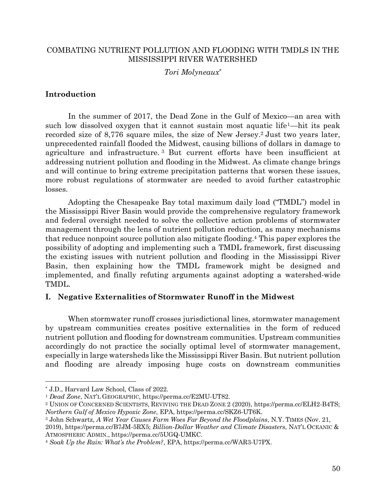# COMBATING NUTRIENT POLLUTION AND FLOODING WITH TMDLS IN THE MISSISSIPPI RIVER WATERSHED

# *Tori Molyneaux\**

# **Introduction**

In the summer of 2017, the Dead Zone in the Gulf of Mexico—an area with such low dissolved oxygen that it cannot sustain most aquatic life<sup>1</sup>—hit its peak recorded size of 8,776 square miles, the size of New Jersey.2 Just two years later, unprecedented rainfall flooded the Midwest, causing billions of dollars in damage to agriculture and infrastructure. <sup>3</sup> But current efforts have been insufficient at addressing nutrient pollution and flooding in the Midwest. As climate change brings and will continue to bring extreme precipitation patterns that worsen these issues, more robust regulations of stormwater are needed to avoid further catastrophic losses.

Adopting the Chesapeake Bay total maximum daily load ("TMDL") model in the Mississippi River Basin would provide the comprehensive regulatory framework and federal oversight needed to solve the collective action problems of stormwater management through the lens of nutrient pollution reduction, as many mechanisms that reduce nonpoint source pollution also mitigate flooding.4 This paper explores the possibility of adopting and implementing such a TMDL framework, first discussing the existing issues with nutrient pollution and flooding in the Mississippi River Basin, then explaining how the TMDL framework might be designed and implemented, and finally refuting arguments against adopting a watershed-wide TMDL.

# **I. Negative Externalities of Stormwater Runoff in the Midwest**

When stormwater runoff crosses jurisdictional lines, stormwater management by upstream communities creates positive externalities in the form of reduced nutrient pollution and flooding for downstream communities. Upstream communities accordingly do not practice the socially optimal level of stormwater management, especially in large watersheds like the Mississippi River Basin. But nutrient pollution and flooding are already imposing huge costs on downstream communities

<sup>\*</sup> J.D., Harvard Law School, Class of 2022.

<sup>1</sup> *Dead Zone*, NAT'L GEOGRAPHIC, https://perma.cc/E2MU-UT82.

<sup>2</sup> UNION OF CONCERNED SCIENTISTS, REVIVING THE DEAD ZONE 2 (2020), https://perma.cc/ELH2-B4TS; *Northern Gulf of Mexico Hypoxic Zone*, EPA, https://perma.cc/SKZ6-UT6K.

<sup>3</sup> John Schwartz, *A Wet Year Causes Farm Woes Far Beyond the Floodplains*, N.Y. TIMES (Nov. 21,

<sup>2019),</sup> https://perma.cc/B7JM-5RX5; *Billion-Dollar Weather and Climate Disasters*, NAT'L OCEANIC & ATMOSPHERIC ADMIN., https://perma.cc/5UGQ-UMKC.

<sup>4</sup> *Soak Up the Rain: What's the Problem?*, EPA, https://perma.cc/WAR3-U7PX.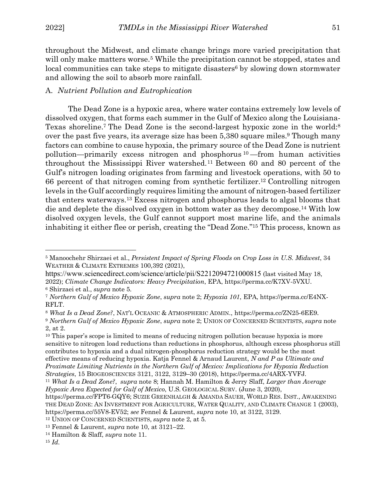throughout the Midwest, and climate change brings more varied precipitation that will only make matters worse.<sup>5</sup> While the precipitation cannot be stopped, states and local communities can take steps to mitigate disasters<sup>6</sup> by slowing down stormwater and allowing the soil to absorb more rainfall.

## A. *Nutrient Pollution and Eutrophication*

The Dead Zone is a hypoxic area, where water contains extremely low levels of dissolved oxygen, that forms each summer in the Gulf of Mexico along the Louisiana-Texas shoreline.7 The Dead Zone is the second-largest hypoxic zone in the world:8 over the past five years, its average size has been  $5,380$  square miles.<sup>9</sup> Though many factors can combine to cause hypoxia, the primary source of the Dead Zone is nutrient pollution—primarily excess nitrogen and phosphorus  $10$ —from human activities throughout the Mississippi River watershed.11 Between 60 and 80 percent of the Gulf's nitrogen loading originates from farming and livestock operations, with 50 to 66 percent of that nitrogen coming from synthetic fertilizer.12 Controlling nitrogen levels in the Gulf accordingly requires limiting the amount of nitrogen-based fertilizer that enters waterways.13 Excess nitrogen and phosphorus leads to algal blooms that die and deplete the dissolved oxygen in bottom water as they decompose.14 With low disolved oxygen levels, the Gulf cannot support most marine life, and the animals inhabiting it either flee or perish, creating the "Dead Zone."15 This process, known as

<sup>10</sup> This paper's scope is limited to means of reducing nitrogen pollution because hypoxia is more sensitive to nitrogen load reductions than reductions in phosphorus, although excess phosphorus still contributes to hypoxia and a dual nitrogen-phosphorus reduction strategy would be the most effective means of reducing hypoxia. Katja Fennel & Arnaud Laurent, *N and P as Ultimate and Proximate Limiting Nutrients in the Northern Gulf of Mexico: Implications for Hypoxia Reduction* 

<sup>5</sup> Manoochehr Shirzaei et al., *Persistent Impact of Spring Floods on Crop Loss in U.S. Midwest*, 34 WEATHER & CLIMATE EXTREMES 100,392 (2021),

https://www.sciencedirect.com/science/article/pii/S2212094721000815 (last visited May 18, 2022); *Climate Change Indicators: Heavy Precipitation*, EPA, https://perma.cc/K7XV-5VXU. <sup>6</sup> Shirzaei et al., *supra* note 5.

<sup>7</sup> *Northern Gulf of Mexico Hypoxic Zone*, *supra* note 2; *Hypoxia 101*, EPA, https://perma.cc/E4NX-RFLT.

<sup>8</sup> *What Is a Dead Zone?*, NAT'L OCEANIC & ATMOSPHERIC ADMIN., https://perma.cc/ZN25-6EE9.

<sup>9</sup> *Northern Gulf of Mexico Hypoxic Zone*, *supra* note 2; UNION OF CONCERNED SCIENTISTS, *supra* note 2, at 2.

*Strategies*, 15 BIOGEOSCIENCES 3121, 3122, 3129–30 (2018), https://perma.cc/4ARX-YVFJ. 11 *What Is a Dead Zone?*, *supra* note 8; Hannah M. Hamilton & Jerry Slaff, *Larger than Average* 

*Hypoxic Area Expected for Gulf of Mexico*, U.S. GEOLOGICAL SURV. (June 3, 2020),

https://perma.cc/FPT6-GQY6; SUZIE GREENHALGH & AMANDA SAUER, WORLD RES. INST., AWAKENING THE DEAD ZONE: AN INVESTMENT FOR AGRICULTURE, WATER QUALITY, AND CLIMATE CHANGE 1 (2003), https://perma.cc/55V8-EV52; *see* Fennel & Laurent, *supra* note 10, at 3122, 3129.

<sup>12</sup> UNION OF CONCERNED SCIENTISTS, *supra* note 2, at 5.

<sup>13</sup> Fennel & Laurent, *supra* note 10, at 3121–22.

<sup>14</sup> Hamilton & Slaff, *supra* note 11.

<sup>15</sup> *Id.*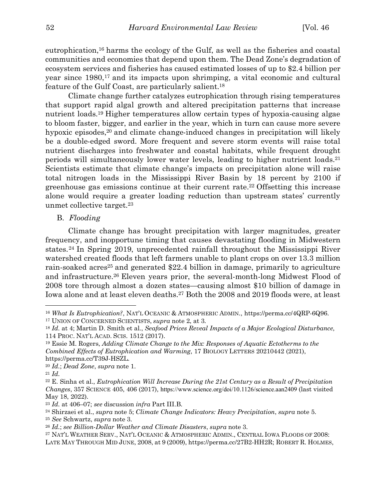eutrophication,16 harms the ecology of the Gulf, as well as the fisheries and coastal communities and economies that depend upon them. The Dead Zone's degradation of ecosystem services and fisheries has caused estimated losses of up to \$2.4 billion per year since 1980,<sup>17</sup> and its impacts upon shrimping, a vital economic and cultural feature of the Gulf Coast, are particularly salient.18

Climate change further catalyzes eutrophication through rising temperatures that support rapid algal growth and altered precipitation patterns that increase nutrient loads.19 Higher temperatures allow certain types of hypoxia-causing algae to bloom faster, bigger, and earlier in the year, which in turn can cause more severe hypoxic episodes,<sup>20</sup> and climate change-induced changes in precipitation will likely be a double-edged sword. More frequent and severe storm events will raise total nutrient discharges into freshwater and coastal habitats, while frequent drought periods will simultaneously lower water levels, leading to higher nutrient loads.21 Scientists estimate that climate change's impacts on precipitation alone will raise total nitrogen loads in the Mississippi River Basin by 18 percent by 2100 if greenhouse gas emissions continue at their current rate.22 Offsetting this increase alone would require a greater loading reduction than upstream states' currently unmet collective target.23

B. *Flooding*

Climate change has brought precipitation with larger magnitudes, greater frequency, and inopportune timing that causes devastating flooding in Midwestern states.24 In Spring 2019, unprecedented rainfall throughout the Mississippi River watershed created floods that left farmers unable to plant crops on over 13.3 million rain-soaked acres<sup>25</sup> and generated \$22.4 billion in damage, primarily to agriculture and infrastructure.26 Eleven years prior, the several-month-long Midwest Flood of 2008 tore through almost a dozen states—causing almost \$10 billion of damage in Iowa alone and at least eleven deaths.27 Both the 2008 and 2019 floods were, at least

<sup>&</sup>lt;sup>16</sup> *What Is Eutrophication?*, NAT'L OCEANIC & ATMOSPHERIC ADMIN., https://perma.cc/4QRP-6Q96. <sup>17</sup> UNION OF CONCERNED SCIENTISTS, *supra* note 2, at 3.

<sup>18</sup> *Id.* at 4; Martin D. Smith et al., *Seafood Prices Reveal Impacts of a Major Ecological Disturbance*, 114 PROC. NAT'L ACAD. SCIS. 1512 (2017).

<sup>19</sup> Essie M. Rogers, *Adding Climate Change to the Mix: Responses of Aquatic Ectotherms to the Combined Effects of Eutrophication and Warming*, 17 BIOLOGY LETTERS 20210442 (2021), https://perma.cc/T39J-HSZL.

<sup>20</sup> *Id.*; *Dead Zone*, *supra* note 1. 21 *Id.*

<sup>22</sup> E. Sinha et al., *Eutrophication Will Increase During the 21st Century as a Result of Precipitation Changes*, 357 SCIENCE 405, 406 (2017), https://www.science.org/doi/10.1126/science.aan2409 (last visited May 18, 2022).

<sup>23</sup> *Id.* at 406–07; *see* discussion *infra* Part III.B. 24 Shirzaei et al., *supra* note 5; *Climate Change Indicators: Heavy Precipitation*, *supra* note 5.

<sup>25</sup> *See* Schwartz, *supra* note 3.

<sup>26</sup> *Id.*; *see Billion-Dollar Weather and Climate Disasters*, *supra* note 3.

<sup>27</sup> NAT'L WEATHER SERV., NAT'L OCEANIC & ATMOSPHERIC ADMIN., CENTRAL IOWA FLOODS OF 2008:

LATE MAY THROUGH MID JUNE, 2008, at 9 (2009), https://perma.cc/27B2-HH2R; ROBERT R. HOLMES,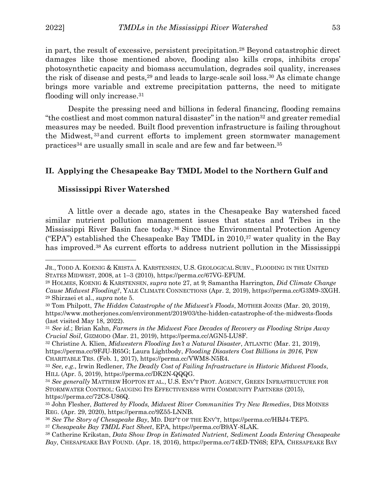$\overline{a}$ 

in part, the result of excessive, persistent precipitation. <sup>28</sup> Beyond catastrophic direct damages like those mentioned above, flooding also kills crops, inhibits crops' photosynthetic capacity and biomass accumulation, degrades soil quality, increases the risk of disease and pests,  $29$  and leads to large-scale soil loss,  $30$  As climate change brings more variable and extreme precipitation patterns, the need to mitigate flooding will only increase.31

Despite the pressing need and billions in federal financing, flooding remains "the costliest and most common natural disaster" in the nation<sup>32</sup> and greater remedial measures may be needed. Built flood prevention infrastructure is failing throughout the Midwest, <sup>33</sup> and current efforts to implement green stormwater management practices34 are usually small in scale and are few and far between.35

## **II. Applying the Chesapeake Bay TMDL Model to the Northern Gulf and**

#### **Mississippi River Watershed**

A little over a decade ago, states in the Chesapeake Bay watershed faced similar nutrient pollution management issues that states and Tribes in the Mississippi River Basin face today.36 Since the Environmental Protection Agency ("EPA") established the Chesapeake Bay TMDL in 2010,37 water quality in the Bay has improved.38 As current efforts to address nutrient pollution in the Mississippi

JR., TODD A. KOENIG & KRISTA A. KARSTENSEN, U.S. GEOLOGICAL SURV., FLOODING IN THE UNITED STATES MIDWEST, 2008, at 1–3 (2010), https://perma.cc/67VG-EFUM.

<sup>28</sup> HOLMES, KOENIG & KARSTENSEN, *supra* note 27, at 9; Samantha Harrington, *Did Climate Change Cause Midwest Flooding?*, YALE CLIMATE CONNECTIONS (Apr. 2, 2019), https://perma.cc/G3M9-3XGH. <sup>29</sup> Shirzaei et al., *supra* note 5.

<sup>30</sup> Tom Philpott, *The Hidden Catastrophe of the Midwest's Floods*, MOTHER JONES (Mar. 20, 2019), https://www.motherjones.com/environment/2019/03/the-hidden-catastrophe-of-the-midwests-floods (last visited May 18, 2022).

<sup>31</sup> *See id.*; Brian Kahn, *Farmers in the Midwest Face Decades of Recovery as Flooding Strips Away Crucial Soil*, GIZMODO (Mar. 21, 2019), https://perma.cc/AGN5-LU8F.

<sup>32</sup> Christine A. Klien, *Midwestern Flooding Isn't a Natural Disaster*, ATLANTIC (Mar. 21, 2019), https://perma.cc/9FJU-R65G; Laura Lightbody, *Flooding Disasters Cost Billions in 2016*, PEW CHARITABLE TRS. (Feb. 1, 2017), https://perma.cc/VWM8-N5R4.

<sup>33</sup> *See, e.g.*, Irwin Redlener, *The Deadly Cost of Failing Infrastructure in Historic Midwest Floods*, HILL (Apr. 5, 2019), https://perma.cc/DK2N-QQQG. 34 *See generally* MATTHEW HOPTON ET AL., U.S. ENV'T PROT. AGENCY, GREEN INFRASTRUCTURE FOR

STORMWATER CONTROL: GAUGING ITS EFFECTIVENESS WITH COMMUNITY PARTNERS (2015), https://perma.cc/72C8-U86Q. 35 John Flesher, *Battered by Floods, Midwest River Communities Try New Remedies*, DES MOINES

REG. (Apr. 29, 2020), https://perma.cc/9Z55-LNNB.

<sup>36</sup> *See The Story of Chesapeake Bay*, MD. DEP'T OF THE ENV'T, https://perma.cc/HBJ4-TEP5.

<sup>37</sup> *Chesapeake Bay TMDL Fact Sheet*, EPA, https://perma.cc/B9AY-8LAK.

<sup>38</sup> Catherine Krikstan, *Data Show Drop in Estimated Nutrient, Sediment Loads Entering Chesapeake Bay*, CHESAPEAKE BAY FOUND. (Apr. 18, 2016), https://perma.cc/74ED-TN6S; EPA, CHESAPEAKE BAY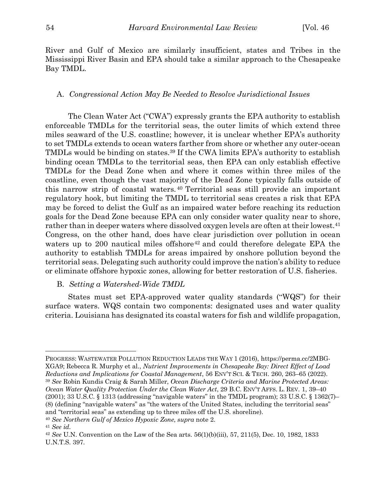River and Gulf of Mexico are similarly insufficient, states and Tribes in the Mississippi River Basin and EPA should take a similar approach to the Chesapeake Bay TMDL.

#### A. *Congressional Action May Be Needed to Resolve Jurisdictional Issues*

The Clean Water Act ("CWA") expressly grants the EPA authority to establish enforceable TMDLs for the territorial seas, the outer limits of which extend three miles seaward of the U.S. coastline; however, it is unclear whether EPA's authority to set TMDLs extends to ocean waters farther from shore or whether any outer-ocean TMDLs would be binding on states.39 If the CWA limits EPA's authority to establish binding ocean TMDLs to the territorial seas, then EPA can only establish effective TMDLs for the Dead Zone when and where it comes within three miles of the coastline, even though the vast majority of the Dead Zone typically falls outside of this narrow strip of coastal waters. <sup>40</sup> Territorial seas still provide an important regulatory hook, but limiting the TMDL to territorial seas creates a risk that EPA may be forced to delist the Gulf as an impaired water before reaching its reduction goals for the Dead Zone because EPA can only consider water quality near to shore, rather than in deeper waters where dissolved oxygen levels are often at their lowest.<sup>41</sup> Congress, on the other hand, does have clear jurisdiction over pollution in ocean waters up to 200 nautical miles offshore<sup>42</sup> and could therefore delegate EPA the authority to establish TMDLs for areas impaired by onshore pollution beyond the territorial seas. Delegating such authority could improve the nation's ability to reduce or eliminate offshore hypoxic zones, allowing for better restoration of U.S. fisheries.

### B. *Setting a Watershed-Wide TMDL*

States must set EPA-approved water quality standards ("WQS") for their surface waters. WQS contain two components: designated uses and water quality criteria. Louisiana has designated its coastal waters for fish and wildlife propagation,

PROGRESS: WASTEWATER POLLUTION REDUCTION LEADS THE WAY 1 (2016), https://perma.cc/2MBG-XGA9; Rebecca R. Murphy et al., *Nutrient Improvements in Chesapeake Bay: Direct Effect of Load Reductions and Implications for Coastal Management*, 56 ENV'T SCI. & TECH. 260, 263–65 (2022). <sup>39</sup> *See* Robin Kundis Craig & Sarah Miller, *Ocean Discharge Criteria and Marine Protected Areas: Ocean Water Quality Protection Under the Clean Water Act*, 29 B.C. ENV'T AFFS. L. REV. 1, 39–40 (2001); 33 U.S.C. § 1313 (addressing "navigable waters" in the TMDL program); 33 U.S.C. § 1362(7)– (8) (defining "navigable waters" as "the waters of the United States, including the territorial seas" and "territorial seas" as extending up to three miles off the U.S. shoreline).

<sup>40</sup> *See Northern Gulf of Mexico Hypoxic Zone*, *supra* note 2.

<sup>41</sup> *See id.*

<sup>42</sup> *See* U.N. Convention on the Law of the Sea arts. 56(1)(b)(iii), 57, 211(5), Dec. 10, 1982, 1833 U.N.T.S. 397.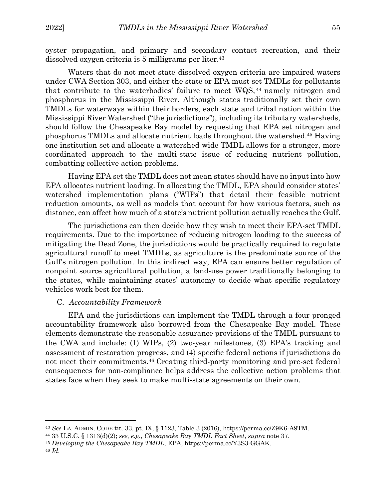oyster propagation, and primary and secondary contact recreation, and their dissolved oxygen criteria is 5 milligrams per liter.43

Waters that do not meet state dissolved oxygen criteria are impaired waters under CWA Section 303, and either the state or EPA must set TMDLs for pollutants that contribute to the waterbodies' failure to meet WQS, <sup>44</sup> namely nitrogen and phosphorus in the Mississippi River. Although states traditionally set their own TMDLs for waterways within their borders, each state and tribal nation within the Mississippi River Watershed ("the jurisdictions"), including its tributary watersheds, should follow the Chesapeake Bay model by requesting that EPA set nitrogen and phosphorus TMDLs and allocate nutrient loads throughout the watershed.45 Having one institution set and allocate a watershed-wide TMDL allows for a stronger, more coordinated approach to the multi-state issue of reducing nutrient pollution, combatting collective action problems.

Having EPA set the TMDL does not mean states should have no input into how EPA allocates nutrient loading. In allocating the TMDL, EPA should consider states' watershed implementation plans ("WIPs") that detail their feasible nutrient reduction amounts, as well as models that account for how various factors, such as distance, can affect how much of a state's nutrient pollution actually reaches the Gulf.

The jurisdictions can then decide how they wish to meet their EPA-set TMDL requirements. Due to the importance of reducing nitrogen loading to the success of mitigating the Dead Zone, the jurisdictions would be practically required to regulate agricultural runoff to meet TMDLs, as agriculture is the predominate source of the Gulf's nitrogen pollution. In this indirect way, EPA can ensure better regulation of nonpoint source agricultural pollution, a land-use power traditionally belonging to the states, while maintaining states' autonomy to decide what specific regulatory vehicles work best for them.

#### C. *Accountability Framework*

EPA and the jurisdictions can implement the TMDL through a four-pronged accountability framework also borrowed from the Chesapeake Bay model. These elements demonstrate the reasonable assurance provisions of the TMDL pursuant to the CWA and include: (1) WIPs, (2) two-year milestones, (3) EPA's tracking and assessment of restoration progress, and (4) specific federal actions if jurisdictions do not meet their commitments.46 Creating third-party monitoring and pre-set federal consequences for non-compliance helps address the collective action problems that states face when they seek to make multi-state agreements on their own.

<sup>&</sup>lt;sup>43</sup> See LA. ADMIN. CODE tit. 33, pt. IX, § 1123, Table 3 (2016), https://perma.cc/Z9K6-A9TM. <sup>44</sup> 33 U.S.C. § 1313(d)(2); see, e.g., Chesapeake Bay TMDL Fact Sheet, supra note 37.

<sup>45</sup> *Developing the Chesapeake Bay TMDL*, EPA, https://perma.cc/Y3S3-GGAK.

<sup>46</sup> *Id.*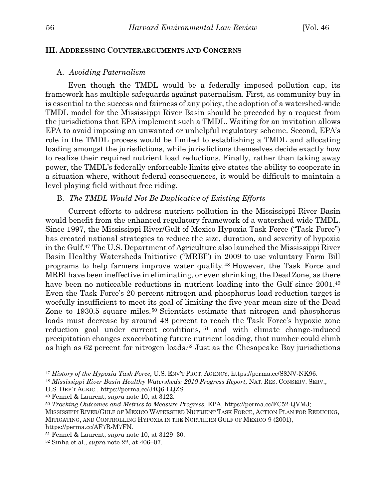# **III. ADDRESSING COUNTERARGUMENTS AND CONCERNS**

#### A. *Avoiding Paternalism*

Even though the TMDL would be a federally imposed pollution cap, its framework has multiple safeguards against paternalism. First, as community buy-in is essential to the success and fairness of any policy, the adoption of a watershed-wide TMDL model for the Mississippi River Basin should be preceded by a request from the jurisdictions that EPA implement such a TMDL. Waiting for an invitation allows EPA to avoid imposing an unwanted or unhelpful regulatory scheme. Second, EPA's role in the TMDL process would be limited to establishing a TMDL and allocating loading amongst the jurisdictions, while jurisdictions themselves decide exactly how to realize their required nutrient load reductions. Finally, rather than taking away power, the TMDL's federally enforceable limits give states the ability to cooperate in a situation where, without federal consequences, it would be difficult to maintain a level playing field without free riding.

### B. *The TMDL Would Not Be Duplicative of Existing Efforts*

Current efforts to address nutrient pollution in the Mississippi River Basin would benefit from the enhanced regulatory framework of a watershed-wide TMDL. Since 1997, the Mississippi River/Gulf of Mexico Hypoxia Task Force ("Task Force") has created national strategies to reduce the size, duration, and severity of hypoxia in the Gulf.47 The U.S. Department of Agriculture also launched the Mississippi River Basin Healthy Watersheds Initiative ("MRBI") in 2009 to use voluntary Farm Bill programs to help farmers improve water quality.48 However, the Task Force and MRBI have been ineffective in eliminating, or even shrinking, the Dead Zone, as there have been no noticeable reductions in nutrient loading into the Gulf since 2001.<sup>49</sup> Even the Task Force's 20 percent nitrogen and phosphorus load reduction target is woefully insufficient to meet its goal of limiting the five-year mean size of the Dead Zone to 1930.5 square miles.<sup>50</sup> Scientists estimate that nitrogen and phosphorus loads must decrease by around 48 percent to reach the Task Force's hypoxic zone reduction goal under current conditions, <sup>51</sup> and with climate change-induced precipitation changes exacerbating future nutrient loading, that number could climb as high as 62 percent for nitrogen loads.52 Just as the Chesapeake Bay jurisdictions

<sup>47</sup> *History of the Hypoxia Task Force*, U.S. ENV'T PROT. AGENCY, https://perma.cc/S8NV-NK96.

<sup>48</sup> *Mississippi River Basin Healthy Watersheds: 2019 Progress Report*, NAT. RES. CONSERV. SERV.,

U.S. DEP'T AGRIC., https://perma.cc/J4Q6-LQZS. 49 Fennel & Laurent, *supra* note 10, at 3122.

<sup>50</sup> *Tracking Outcomes and Metrics to Measure Progress*, EPA, https://perma.cc/FC52-QVMJ; MISSISSIPPI RIVER/GULF OF MEXICO WATERSHED NUTRIENT TASK FORCE, ACTION PLAN FOR REDUCING, MITIGATING, AND CONTROLLING HYPOXIA IN THE NORTHERN GULF OF MEXICO 9 (2001),

https://perma.cc/AF7R-M7FN. 51 Fennel & Laurent, *supra* note 10, at 3129–30.

<sup>52</sup> Sinha et al., *supra* note 22, at 406–07.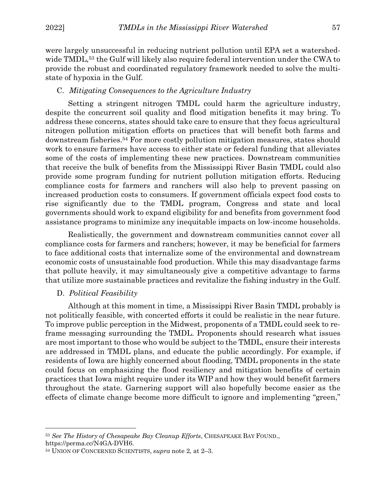were largely unsuccessful in reducing nutrient pollution until EPA set a watershedwide TMDL,<sup>53</sup> the Gulf will likely also require federal intervention under the CWA to provide the robust and coordinated regulatory framework needed to solve the multistate of hypoxia in the Gulf.

## C. *Mitigating Consequences to the Agriculture Industry*

Setting a stringent nitrogen TMDL could harm the agriculture industry, despite the concurrent soil quality and flood mitigation benefits it may bring. To address these concerns, states should take care to ensure that they focus agricultural nitrogen pollution mitigation efforts on practices that will benefit both farms and downstream fisheries.54 For more costly pollution mitigation measures, states should work to ensure farmers have access to either state or federal funding that alleviates some of the costs of implementing these new practices. Downstream communities that receive the bulk of benefits from the Mississippi River Basin TMDL could also provide some program funding for nutrient pollution mitigation efforts. Reducing compliance costs for farmers and ranchers will also help to prevent passing on increased production costs to consumers. If government officials expect food costs to rise significantly due to the TMDL program, Congress and state and local governments should work to expand eligibility for and benefits from government food assistance programs to minimize any inequitable impacts on low-income households.

Realistically, the government and downstream communities cannot cover all compliance costs for farmers and ranchers; however, it may be beneficial for farmers to face additional costs that internalize some of the environmental and downstream economic costs of unsustainable food production. While this may disadvantage farms that pollute heavily, it may simultaneously give a competitive advantage to farms that utilize more sustainable practices and revitalize the fishing industry in the Gulf.

### D. *Political Feasibility*

 $\overline{a}$ 

Although at this moment in time, a Mississippi River Basin TMDL probably is not politically feasible, with concerted efforts it could be realistic in the near future. To improve public perception in the Midwest, proponents of a TMDL could seek to reframe messaging surrounding the TMDL. Proponents should research what issues are most important to those who would be subject to the TMDL, ensure their interests are addressed in TMDL plans, and educate the public accordingly. For example, if residents of Iowa are highly concerned about flooding, TMDL proponents in the state could focus on emphasizing the flood resiliency and mitigation benefits of certain practices that Iowa might require under its WIP and how they would benefit farmers throughout the state. Garnering support will also hopefully become easier as the effects of climate change become more difficult to ignore and implementing "green,"

<sup>53</sup> *See The History of Chesapeake Bay Cleanup Efforts*, CHESAPEAKE BAY FOUND., https://perma.cc/N4GA-DVH6.

<sup>54</sup> UNION OF CONCERNED SCIENTISTS, *supra* note 2, at 2–3.